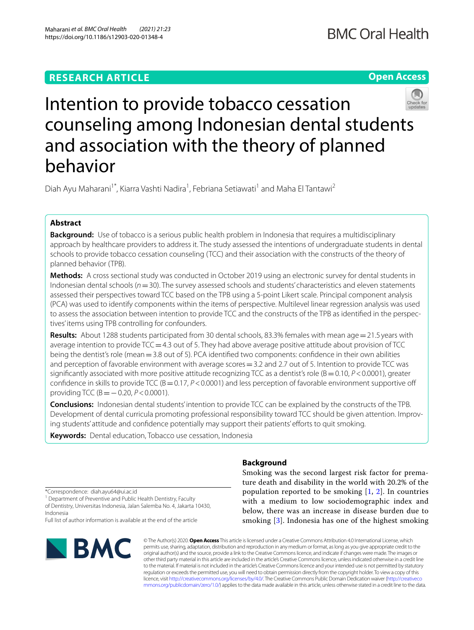# **RESEARCH ARTICLE**

**Open Access**



# Intention to provide tobacco cessation counseling among Indonesian dental students and association with the theory of planned behavior

Diah Ayu Maharani<sup>1\*</sup>, Kiarra Vashti Nadira<sup>1</sup>, Febriana Setiawati<sup>1</sup> and Maha El Tantawi<sup>2</sup>

# **Abstract**

**Background:** Use of tobacco is a serious public health problem in Indonesia that requires a multidisciplinary approach by healthcare providers to address it. The study assessed the intentions of undergraduate students in dental schools to provide tobacco cessation counseling (TCC) and their association with the constructs of the theory of planned behavior (TPB).

**Methods:** A cross sectional study was conducted in October 2019 using an electronic survey for dental students in Indonesian dental schools (*n*=30). The survey assessed schools and students' characteristics and eleven statements assessed their perspectives toward TCC based on the TPB using a 5-point Likert scale. Principal component analysis (PCA) was used to identify components within the items of perspective. Multilevel linear regression analysis was used to assess the association between intention to provide TCC and the constructs of the TPB as identifed in the perspectives' items using TPB controlling for confounders.

**Results:** About 1288 students participated from 30 dental schools, 83.3% females with mean age=21.5 years with average intention to provide  $TCC=4.3$  out of 5. They had above average positive attitude about provision of TCC being the dentist's role (mean=3.8 out of 5). PCA identifed two components: confdence in their own abilities and perception of favorable environment with average scores = 3.2 and 2.7 out of 5. Intention to provide TCC was significantly associated with more positive attitude recognizing TCC as a dentist's role (B = 0.10, *P* < 0.0001), greater confidence in skills to provide TCC ( $B = 0.17$ ,  $P < 0.0001$ ) and less perception of favorable environment supportive off providing TCC (B=−0.20, *P*<0.0001).

**Conclusions:** Indonesian dental students' intention to provide TCC can be explained by the constructs of the TPB. Development of dental curricula promoting professional responsibility toward TCC should be given attention. Improving students' attitude and confdence potentially may support their patients' eforts to quit smoking.

**Keywords:** Dental education, Tobacco use cessation, Indonesia

# **Background**

\*Correspondence: diah.ayu64@ui.ac.id

<sup>1</sup> Department of Preventive and Public Health Dentistry, Faculty of Dentistry, Universitas Indonesia, Jalan Salemba No. 4, Jakarta 10430, Indonesia

Full list of author information is available at the end of the article



Smoking was the second largest risk factor for premature death and disability in the world with 20.2% of the population reported to be smoking [[1](#page-6-0), [2\]](#page-6-1). In countries with a medium to low sociodemographic index and below, there was an increase in disease burden due to smoking [[3](#page-6-2)]. Indonesia has one of the highest smoking

© The Author(s) 2020. **Open Access** This article is licensed under a Creative Commons Attribution 4.0 International License, which permits use, sharing, adaptation, distribution and reproduction in any medium or format, as long as you give appropriate credit to the original author(s) and the source, provide a link to the Creative Commons licence, and indicate if changes were made. The images or other third party material in this article are included in the article's Creative Commons licence, unless indicated otherwise in a credit line to the material. If material is not included in the article's Creative Commons licence and your intended use is not permitted by statutory regulation or exceeds the permitted use, you will need to obtain permission directly from the copyright holder. To view a copy of this licence, visit [http://creativecommons.org/licenses/by/4.0/.](http://creativecommons.org/licenses/by/4.0/) The Creative Commons Public Domain Dedication waiver ([http://creativeco](http://creativecommons.org/publicdomain/zero/1.0/) [mmons.org/publicdomain/zero/1.0/](http://creativecommons.org/publicdomain/zero/1.0/)) applies to the data made available in this article, unless otherwise stated in a credit line to the data.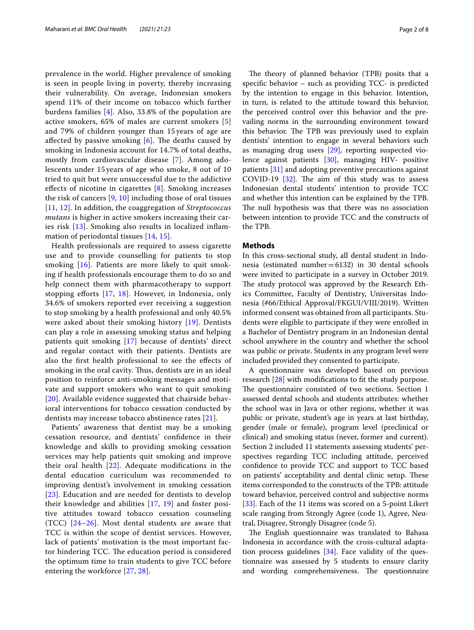prevalence in the world. Higher prevalence of smoking is seen in people living in poverty, thereby increasing their vulnerability. On average, Indonesian smokers spend 11% of their income on tobacco which further burdens families [[4\]](#page-6-3). Also, 33.8% of the population are active smokers, 65% of males are current smokers [\[5](#page-6-4)] and 79% of children younger than 15 years of age are affected by passive smoking  $[6]$  $[6]$ . The deaths caused by smoking in Indonesia account for 14.7% of total deaths, mostly from cardiovascular disease [[7](#page-6-6)]. Among adolescents under 15 years of age who smoke, 8 out of 10 tried to quit but were unsuccessful due to the addictive efects of nicotine in cigarettes [[8\]](#page-6-7). Smoking increases the risk of cancers [\[9](#page-6-8), [10](#page-6-9)] including those of oral tissues [[11](#page-6-10), [12](#page-6-11)]. In addition, the coaggregation of *Streptococcus mutans* is higher in active smokers increasing their caries risk [\[13\]](#page-6-12). Smoking also results in localized infammation of periodontal tissues [\[14,](#page-6-13) [15](#page-6-14)].

Health professionals are required to assess cigarette use and to provide counselling for patients to stop smoking [\[16\]](#page-6-15). Patients are more likely to quit smoking if health professionals encourage them to do so and help connect them with pharmacotherapy to support stopping efforts  $[17, 18]$  $[17, 18]$  $[17, 18]$  $[17, 18]$ . However, in Indonesia, only 34.6% of smokers reported ever receiving a suggestion to stop smoking by a health professional and only 40.5% were asked about their smoking history [[19](#page-6-18)]. Dentists can play a role in assessing smoking status and helping patients quit smoking [[17](#page-6-16)] because of dentists' direct and regular contact with their patients. Dentists are also the frst health professional to see the efects of smoking in the oral cavity. Thus, dentists are in an ideal position to reinforce anti-smoking messages and motivate and support smokers who want to quit smoking [[20](#page-6-19)]. Available evidence suggested that chairside behavioral interventions for tobacco cessation conducted by dentists may increase tobacco abstinence rates [[21](#page-6-20)].

Patients' awareness that dentist may be a smoking cessation resource, and dentists' confdence in their knowledge and skills to providing smoking cessation services may help patients quit smoking and improve their oral health  $[22]$  $[22]$ . Adequate modifications in the dental education curriculum was recommended to improving dentist's involvement in smoking cessation [[23](#page-6-22)]. Education and are needed for dentists to develop their knowledge and abilities [[17,](#page-6-16) [19](#page-6-18)] and foster positive attitudes toward tobacco cessation counseling (TCC)  $[24-26]$  $[24-26]$  $[24-26]$ . Most dental students are aware that TCC is within the scope of dentist services. However, lack of patients' motivation is the most important factor hindering TCC. The education period is considered the optimum time to train students to give TCC before entering the workforce [\[27,](#page-6-25) [28\]](#page-6-26).

The theory of planned behavior (TPB) posits that a specifc behavior – such as providing TCC- is predicted by the intention to engage in this behavior. Intention, in turn, is related to the attitude toward this behavior, the perceived control over this behavior and the prevailing norms in the surrounding environment toward this behavior. The TPB was previously used to explain dentists' intention to engage in several behaviors such as managing drug users [[29\]](#page-7-0), reporting suspected violence against patients [\[30](#page-7-1)], managing HIV- positive patients [[31\]](#page-7-2) and adopting preventive precautions against COVID-19  $[32]$  $[32]$ . The aim of this study was to assess Indonesian dental students' intention to provide TCC and whether this intention can be explained by the TPB. The null hypothesis was that there was no association between intention to provide TCC and the constructs of the TPB.

## **Methods**

In this cross-sectional study, all dental student in Indonesia (estimated number=6132) in 30 dental schools were invited to participate in a survey in October 2019. The study protocol was approved by the Research Ethics Committee, Faculty of Dentistry, Universitas Indonesia (#66/Ethical Approval/FKGUI/VIII/2019). Written informed consent was obtained from all participants. Students were eligible to participate if they were enrolled in a Bachelor of Dentistry program in an Indonesian dental school anywhere in the country and whether the school was public or private. Students in any program level were included provided they consented to participate.

A questionnaire was developed based on previous research [\[28\]](#page-6-26) with modifcations to ft the study purpose. The questionnaire consisted of two sections. Section 1 assessed dental schools and students attributes: whether the school was in Java or other regions, whether it was public or private, student's age in years at last birthday, gender (male or female), program level (preclinical or clinical) and smoking status (never, former and current). Section 2 included 11 statements assessing students' perspectives regarding TCC including attitude, perceived confdence to provide TCC and support to TCC based on patients' acceptability and dental clinic setup. These items corresponded to the constructs of the TPB: attitude toward behavior, perceived control and subjective norms [[33\]](#page-7-4). Each of the 11 items was scored on a 5-point Likert scale ranging from Strongly Agree (code 1), Agree, Neutral, Disagree, Strongly Disagree (code 5).

The English questionnaire was translated to Bahasa Indonesia in accordance with the cross-cultural adaptation process guidelines  $[34]$  $[34]$  $[34]$ . Face validity of the questionnaire was assessed by 5 students to ensure clarity and wording comprehensiveness. The questionnaire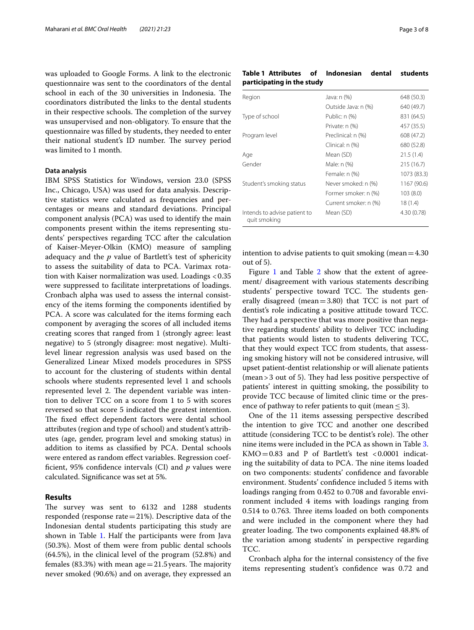was uploaded to Google Forms. A link to the electronic questionnaire was sent to the coordinators of the dental school in each of the 30 universities in Indonesia. The coordinators distributed the links to the dental students in their respective schools. The completion of the survey was unsupervised and non-obligatory. To ensure that the questionnaire was flled by students, they needed to enter their national student's ID number. The survey period was limited to 1 month.

#### **Data analysis**

IBM SPSS Statistics for Windows, version 23.0 (SPSS Inc., Chicago, USA) was used for data analysis. Descriptive statistics were calculated as frequencies and percentages or means and standard deviations. Principal component analysis (PCA) was used to identify the main components present within the items representing students' perspectives regarding TCC after the calculation of Kaiser-Meyer-Olkin (KMO) measure of sampling adequacy and the *p* value of Bartlett's test of sphericity to assess the suitability of data to PCA. Varimax rotation with Kaiser normalization was used. Loadings <0.35 were suppressed to facilitate interpretations of loadings. Cronbach alpha was used to assess the internal consistency of the items forming the components identifed by PCA. A score was calculated for the items forming each component by averaging the scores of all included items creating scores that ranged from 1 (strongly agree: least negative) to 5 (strongly disagree: most negative). Multilevel linear regression analysis was used based on the Generalized Linear Mixed models procedures in SPSS to account for the clustering of students within dental schools where students represented level 1 and schools represented level 2. The dependent variable was intention to deliver TCC on a score from 1 to 5 with scores reversed so that score 5 indicated the greatest intention. The fixed effect dependent factors were dental school attributes (region and type of school) and student's attributes (age, gender, program level and smoking status) in addition to items as classifed by PCA. Dental schools were entered as random efect variables. Regression coeffcient, 95% confdence intervals (CI) and *p* values were calculated. Signifcance was set at 5%.

### **Results**

The survey was sent to 6132 and 1288 students responded (response rate $=21%$ ). Descriptive data of the Indonesian dental students participating this study are shown in Table [1](#page-2-0). Half the participants were from Java (50.3%). Most of them were from public dental schools (64.5%), in the clinical level of the program (52.8%) and females (83.3%) with mean age  $=21.5$  years. The majority never smoked (90.6%) and on average, they expressed an

# <span id="page-2-0"></span>**Table 1 Attributes of Indonesian dental students participating in the study**

| Region                                       | Java: n (%)           | 648 (50.3)  |
|----------------------------------------------|-----------------------|-------------|
|                                              | Outside Java: n (%)   | 640 (49.7)  |
| Type of school                               | Public: n (%)         | 831 (64.5)  |
|                                              | Private: n (%)        | 457 (35.5)  |
| Program level                                | Preclinical: n (%)    | 608 (47.2)  |
|                                              | Clinical: n (%)       | 680 (52.8)  |
| Age                                          | Mean (SD)             | 21.5(1.4)   |
| Gender                                       | Male: n (%)           | 215(16.7)   |
|                                              | Female: n (%)         | 1073 (83.3) |
| Student's smoking status                     | Never smoked: n (%)   | 1167 (90.6) |
|                                              | Former smoker: n (%)  | 103(8.0)    |
|                                              | Current smoker: n (%) | 18 (1.4)    |
| Intends to advise patient to<br>quit smoking | Mean (SD)             | 4.30 (0.78) |

intention to advise patients to quit smoking (mean  $=4.30$ ) out of 5).

Figure [1](#page-3-0) and Table [2](#page-3-1) show that the extent of agreement/ disagreement with various statements describing students' perspective toward TCC. The students generally disagreed (mean=3.80) that TCC is not part of dentist's role indicating a positive attitude toward TCC. They had a perspective that was more positive than negative regarding students' ability to deliver TCC including that patients would listen to students delivering TCC, that they would expect TCC from students, that assessing smoking history will not be considered intrusive, will upset patient-dentist relationship or will alienate patients  $(mean > 3$  out of 5). They had less positive perspective of patients' interest in quitting smoking, the possibility to provide TCC because of limited clinic time or the presence of pathway to refer patients to quit (mean  $\leq$ 3).

One of the 11 items assessing perspective described the intention to give TCC and another one described attitude (considering TCC to be dentist's role). The other nine items were included in the PCA as shown in Table [3](#page-4-0).  $KMO = 0.83$  and P of Bartlett's test <0.0001 indicating the suitability of data to PCA. The nine items loaded on two components: students' confdence and favorable environment. Students' confdence included 5 items with loadings ranging from 0.452 to 0.708 and favorable environment included 4 items with loadings ranging from 0.514 to 0.763. Three items loaded on both components and were included in the component where they had greater loading. The two components explained 48.8% of the variation among students' in perspective regarding TCC.

Cronbach alpha for the internal consistency of the fve items representing student's confdence was 0.72 and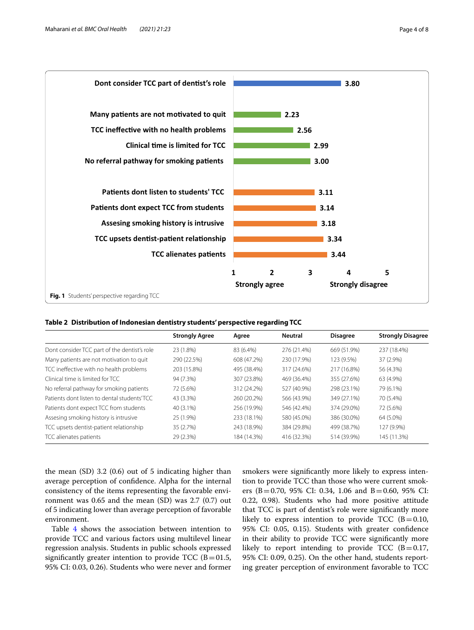

<span id="page-3-1"></span><span id="page-3-0"></span>**Table 2 Distribution of Indonesian dentistry students' perspective regarding TCC**

|                                              | <b>Strongly Agree</b> | Agree       | <b>Neutral</b> | <b>Disagree</b> | <b>Strongly Disagree</b> |
|----------------------------------------------|-----------------------|-------------|----------------|-----------------|--------------------------|
| Dont consider TCC part of the dentist's role | 23 (1.8%)             | 83 (6.4%)   | 276 (21.4%)    | 669 (51.9%)     | 237 (18.4%)              |
| Many patients are not motivation to guit     | 290 (22.5%)           | 608 (47.2%) | 230 (17.9%)    | 123 (9.5%)      | 37 (2.9%)                |
| TCC ineffective with no health problems      | 203 (15.8%)           | 495 (38.4%) | 317 (24.6%)    | 217 (16.8%)     | 56 (4.3%)                |
| Clinical time is limited for TCC.            | 94 (7.3%)             | 307 (23.8%) | 469 (36.4%)    | 355 (27.6%)     | 63 (4.9%)                |
| No referral pathway for smoking patients     | 72 (5.6%)             | 312 (24.2%) | 527 (40.9%)    | 298 (23.1%)     | 79 (6.1%)                |
| Patients dont listen to dental students'TCC  | 43 (3.3%)             | 260 (20.2%) | 566 (43.9%)    | 349 (27.1%)     | 70 (5.4%)                |
| Patients dont expect TCC from students       | 40 (3.1%)             | 256 (19.9%) | 546 (42.4%)    | 374 (29.0%)     | 72 (5.6%)                |
| Assesing smoking history is intrusive        | 25 (1.9%)             | 233 (18.1%) | 580 (45.0%)    | 386 (30.0%)     | 64 (5.0%)                |
| TCC upsets dentist-patient relationship      | 35 (2.7%)             | 243 (18.9%) | 384 (29.8%)    | 499 (38.7%)     | 127 (9.9%)               |
| TCC alienates patients                       | 29 (2.3%)             | 184 (14.3%) | 416 (32.3%)    | 514 (39.9%)     | 145 (11.3%)              |

the mean (SD) 3.2 (0.6) out of 5 indicating higher than average perception of confdence. Alpha for the internal consistency of the items representing the favorable environment was 0.65 and the mean (SD) was 2.7 (0.7) out of 5 indicating lower than average perception of favorable environment.

Table [4](#page-4-1) shows the association between intention to provide TCC and various factors using multilevel linear regression analysis. Students in public schools expressed significantly greater intention to provide TCC ( $B=01.5$ , 95% CI: 0.03, 0.26). Students who were never and former

smokers were signifcantly more likely to express intention to provide TCC than those who were current smokers (B=0.70, 95% CI: 0.34, 1.06 and B=0.60, 95% CI: 0.22, 0.98). Students who had more positive attitude that TCC is part of dentist's role were signifcantly more likely to express intention to provide TCC  $(B=0.10,$ 95% CI: 0.05, 0.15). Students with greater confdence in their ability to provide TCC were signifcantly more likely to report intending to provide TCC  $(B=0.17,$ 95% CI: 0.09, 0.25). On the other hand, students reporting greater perception of environment favorable to TCC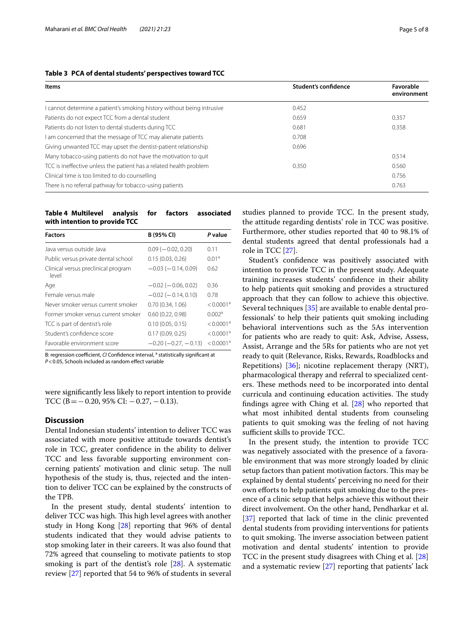| Items                                                                  | Student's confidence | Favorable<br>environment |
|------------------------------------------------------------------------|----------------------|--------------------------|
| I cannot determine a patient's smoking history without being intrusive | 0.452                |                          |
| Patients do not expect TCC from a dental student                       | 0.659                | 0.357                    |
| Patients do not listen to dental students during TCC                   | 0.681                | 0.358                    |
| I am concerned that the message of TCC may alienate patients           | 0.708                |                          |
| Giving unwanted TCC may upset the dentist-patient relationship         | 0.696                |                          |
| Many tobacco-using patients do not have the motivation to quit         |                      | 0.514                    |
| TCC is ineffective unless the patient has a related health problem     | 0.350                | 0.560                    |
| Clinical time is too limited to do counselling                         |                      | 0.756                    |
| There is no referral pathway for tobacco-using patients                |                      | 0.763                    |

### <span id="page-4-0"></span>**Table 3 PCA of dental students' perspectives toward TCC**

<span id="page-4-1"></span>**Table 4 Multilevel analysis for factors associated with intention to provide TCC**

| <b>Factors</b>                               | B (95% CI)                    | P value               |
|----------------------------------------------|-------------------------------|-----------------------|
| Java versus outside Java                     | $0.09$ ( $-0.02$ , 0.20)      | 0.11                  |
| Public versus private dental school          | 0.15(0.03, 0.26)              | 0.01 <sup>a</sup>     |
| Clinical versus preclinical program<br>level | $-0.03$ ( $-0.14$ , 0.09)     | 0.62                  |
| Age                                          | $-0.02$ ( $-0.06, 0.02$ )     | 0.36                  |
| Female versus male                           | $-0.02$ ( $-0.14$ , 0.10)     | 0.78                  |
| Never smoker versus current smoker           | 0.70(0.34, 1.06)              | < 0.0001 <sup>a</sup> |
| Former smoker versus current smoker          | 0.60(0.22, 0.98)              | 0.002a                |
| TCC is part of dentist's role                | 0.10(0.05, 0.15)              | < 0.0001 <sup>a</sup> |
| Student's confidence score                   | 0.17(0.09, 0.25)              | < 0.0001 <sup>a</sup> |
| Favorable environment score                  | $-0.20$ ( $-0.27$ , $-0.13$ ) | < 0.0001 <sup>a</sup> |

B: regression coefficient, *CI* Confidence interval, <sup>a</sup> statistically significant at *P*<0.05, Schools included as random efect variable

were signifcantly less likely to report intention to provide TCC (B =  $-0.20$ , 95% CI:  $-0.27$ ,  $-0.13$ ).

## **Discussion**

Dental Indonesian students' intention to deliver TCC was associated with more positive attitude towards dentist's role in TCC, greater confdence in the ability to deliver TCC and less favorable supporting environment concerning patients' motivation and clinic setup. The null hypothesis of the study is, thus, rejected and the intention to deliver TCC can be explained by the constructs of the TPB.

In the present study, dental students' intention to deliver TCC was high. This high level agrees with another study in Hong Kong [\[28](#page-6-26)] reporting that 96% of dental students indicated that they would advise patients to stop smoking later in their careers. It was also found that 72% agreed that counseling to motivate patients to stop smoking is part of the dentist's role [\[28](#page-6-26)]. A systematic review [[27](#page-6-25)] reported that 54 to 96% of students in several studies planned to provide TCC. In the present study, the attitude regarding dentists' role in TCC was positive. Furthermore, other studies reported that 40 to 98.1% of dental students agreed that dental professionals had a role in TCC [[27](#page-6-25)].

Student's confdence was positively associated with intention to provide TCC in the present study. Adequate training increases students' confdence in their ability to help patients quit smoking and provides a structured approach that they can follow to achieve this objective. Several techniques [\[35](#page-7-6)] are available to enable dental professionals' to help their patients quit smoking including behavioral interventions such as the 5As intervention for patients who are ready to quit: Ask, Advise, Assess, Assist, Arrange and the 5Rs for patients who are not yet ready to quit (Relevance, Risks, Rewards, Roadblocks and Repetitions) [\[36\]](#page-7-7); nicotine replacement therapy (NRT), pharmacological therapy and referral to specialized centers. These methods need to be incorporated into dental curricula and continuing education activities. The study fndings agree with Ching et al. [\[28\]](#page-6-26) who reported that what most inhibited dental students from counseling patients to quit smoking was the feeling of not having sufficient skills to provide TCC.

In the present study, the intention to provide TCC was negatively associated with the presence of a favorable environment that was more strongly loaded by clinic setup factors than patient motivation factors. This may be explained by dental students' perceiving no need for their own efforts to help patients quit smoking due to the presence of a clinic setup that helps achieve this without their direct involvement. On the other hand, Pendharkar et al. [[37\]](#page-7-8) reported that lack of time in the clinic prevented dental students from providing interventions for patients to quit smoking. The inverse association between patient motivation and dental students' intention to provide TCC in the present study disagrees with Ching et al. [[28](#page-6-26)] and a systematic review [[27](#page-6-25)] reporting that patients' lack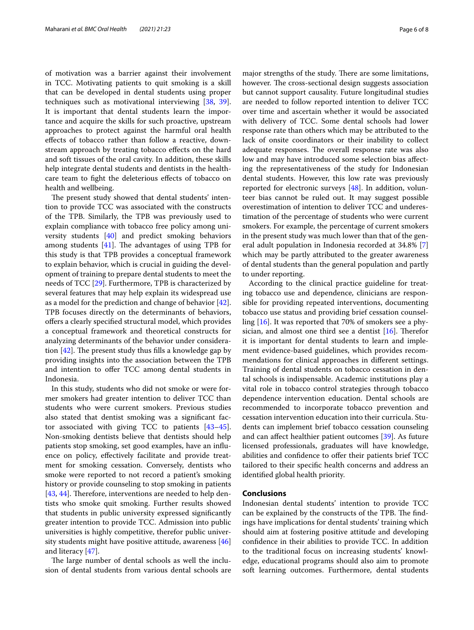of motivation was a barrier against their involvement in TCC. Motivating patients to quit smoking is a skill that can be developed in dental students using proper techniques such as motivational interviewing [\[38](#page-7-9), [39](#page-7-10)]. It is important that dental students learn the importance and acquire the skills for such proactive, upstream approaches to protect against the harmful oral health efects of tobacco rather than follow a reactive, downstream approach by treating tobacco efects on the hard and soft tissues of the oral cavity. In addition, these skills help integrate dental students and dentists in the healthcare team to fght the deleterious efects of tobacco on health and wellbeing.

The present study showed that dental students' intention to provide TCC was associated with the constructs of the TPB. Similarly, the TPB was previously used to explain compliance with tobacco free policy among university students [[40\]](#page-7-11) and predict smoking behaviors among students  $[41]$  $[41]$  $[41]$ . The advantages of using TPB for this study is that TPB provides a conceptual framework to explain behavior, which is crucial in guiding the development of training to prepare dental students to meet the needs of TCC [[29\]](#page-7-0). Furthermore, TPB is characterized by several features that may help explain its widespread use as a model for the prediction and change of behavior [\[42](#page-7-13)]. TPB focuses directly on the determinants of behaviors, ofers a clearly specifed structural model, which provides a conceptual framework and theoretical constructs for analyzing determinants of the behavior under consideration  $[42]$ . The present study thus fills a knowledge gap by providing insights into the association between the TPB and intention to offer TCC among dental students in Indonesia.

In this study, students who did not smoke or were former smokers had greater intention to deliver TCC than students who were current smokers. Previous studies also stated that dentist smoking was a signifcant factor associated with giving TCC to patients [[43](#page-7-14)[–45](#page-7-15)]. Non-smoking dentists believe that dentists should help patients stop smoking, set good examples, have an infuence on policy, efectively facilitate and provide treatment for smoking cessation. Conversely, dentists who smoke were reported to not record a patient's smoking history or provide counseling to stop smoking in patients [[43,](#page-7-14) [44](#page-7-16)]. Therefore, interventions are needed to help dentists who smoke quit smoking. Further results showed that students in public university expressed signifcantly greater intention to provide TCC. Admission into public universities is highly competitive, therefor public university students might have positive attitude, awareness [[46](#page-7-17)] and literacy [[47\]](#page-7-18).

The large number of dental schools as well the inclusion of dental students from various dental schools are major strengths of the study. There are some limitations, however. The cross-sectional design suggests association but cannot support causality. Future longitudinal studies are needed to follow reported intention to deliver TCC over time and ascertain whether it would be associated with delivery of TCC. Some dental schools had lower response rate than others which may be attributed to the lack of onsite coordinators or their inability to collect adequate responses. The overall response rate was also low and may have introduced some selection bias afecting the representativeness of the study for Indonesian dental students. However, this low rate was previously reported for electronic surveys [[48\]](#page-7-19). In addition, volunteer bias cannot be ruled out. It may suggest possible overestimation of intention to deliver TCC and underestimation of the percentage of students who were current smokers. For example, the percentage of current smokers in the present study was much lower than that of the general adult population in Indonesia recorded at 34.8% [\[7](#page-6-6)] which may be partly attributed to the greater awareness of dental students than the general population and partly to under reporting.

According to the clinical practice guideline for treating tobacco use and dependence, clinicians are responsible for providing repeated interventions, documenting tobacco use status and providing brief cessation counselling [\[16\]](#page-6-15). It was reported that 70% of smokers see a physician, and almost one third see a dentist  $[16]$  $[16]$  $[16]$ . Therefor it is important for dental students to learn and implement evidence-based guidelines, which provides recommendations for clinical approaches in diferent settings. Training of dental students on tobacco cessation in dental schools is indispensable. Academic institutions play a vital role in tobacco control strategies through tobacco dependence intervention education. Dental schools are recommended to incorporate tobacco prevention and cessation intervention education into their curricula. Students can implement brief tobacco cessation counseling and can afect healthier patient outcomes [[39\]](#page-7-10). As future licensed professionals, graduates will have knowledge, abilities and confdence to ofer their patients brief TCC tailored to their specifc health concerns and address an identifed global health priority.

#### **Conclusions**

Indonesian dental students' intention to provide TCC can be explained by the constructs of the TPB. The findings have implications for dental students' training which should aim at fostering positive attitude and developing confdence in their abilities to provide TCC. In addition to the traditional focus on increasing students' knowledge, educational programs should also aim to promote soft learning outcomes. Furthermore, dental students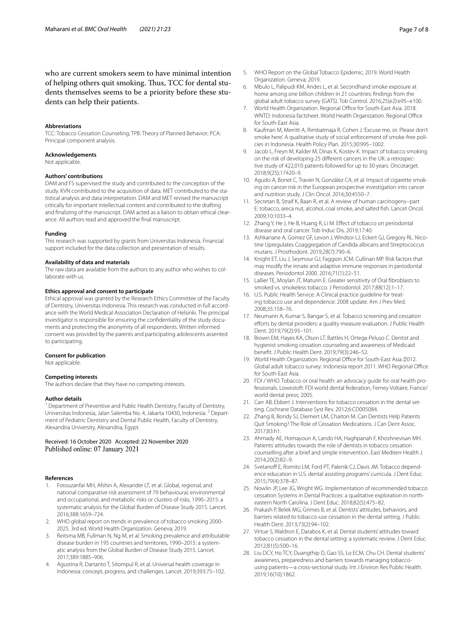#### **Abbreviations**

TCC: Tobacco Cessation Counseling; TPB: Theory of Planned Behavior; PCA: Principal component analysis.

#### **Acknowledgements**

Not applicable.

#### **Authors' contributions**

DAM and FS supervised the study and contributed to the conception of the study. KVN contributed to the acquisition of data. MET contributed to the statistical analysis and data interpretation. DAM and MET revised the manuscript critically for important intellectual content and contributed to the drafting and fnalizing of the manuscript. DAM acted as a liaison to obtain ethical clearance. All authors read and approved the fnal manuscript.

#### **Funding**

This research was supported by grants from Universitas Indonesia. Financial support included for the data collection and presentation of results.

#### **Availability of data and materials**

The raw data are available from the authors to any author who wishes to collaborate with us.

#### **Ethics approval and consent to participate**

Ethical approval was granted by the Research Ethics Committee of the Faculty of Dentistry, Universitas Indonesia. This research was conducted in full accordance with the World Medical Association Declaration of Helsinki. The principal investigator is responsible for ensuring the confdentiality of the study documents and protecting the anonymity of all respondents. Written informed consent was provided by the parents and participating adolescents assented to participating.

#### **Consent for publication**

Not applicable.

#### **Competing interests**

The authors declare that they have no competing interests.

#### **Author details**

<sup>1</sup> Department of Preventive and Public Health Dentistry, Faculty of Dentistry, Universitas Indonesia, Jalan Salemba No. 4, Jakarta 10430, Indonesia. 2 Department of Pediatric Dentistry and Dental Public Health, Faculty of Dentistry, Alexandria University, Alexandria, Egypt.

#### Received: 16 October 2020 Accepted: 22 November 2020 Published online: 07 January 2021

#### **References**

- <span id="page-6-0"></span>1. Forouzanfar MH, Afshin A, Alexander LT, et al. Global, regional, and national comparative risk assessment of 79 behavioural, environmental and occupational, and metabolic risks or clusters of risks, 1990–2015: a systematic analysis for the Global Burden of Disease Study 2015. Lancet. 2016;388:1659–724.
- <span id="page-6-1"></span>2. WHO global report on trends in prevalence of tobacco smoking 2000- 2025. 3rd ed. World Health Organization. Geneva; 2019.
- <span id="page-6-2"></span>3. Reitsma MB, Fullman N, Ng M, et al. Smoking prevalence and attributable disease burden in 195 countries and territories, 1990–2015: a systematic analysis from the Global Burden of Disease Study 2015. Lancet. 2017;389:1885–906.
- <span id="page-6-3"></span>4. Agustina R, Dartanto T, Sitompul R, et al. Universal health coverage in Indonesia: concept, progress, and challenges. Lancet. 2019;393:75–102.
- <span id="page-6-4"></span>5. WHO Report on the Global Tobacco Epidemic, 2019. World Health Organization. Geneva; 2019.
- <span id="page-6-5"></span>6. Mbulo L, Palipudi KM, Andes L, et al. Secondhand smoke exposure at home among one billion children in 21 countries: fndings from the global adult tobacco survey (GATS). Tob Control. 2016;25(e2):e95–e100.
- <span id="page-6-6"></span>World Health Organization. Regional Office for South-East Asia. 2018. WNTD: Indonesia factsheet. World Health Organization. Regional Office for South-East Asia.
- <span id="page-6-7"></span>8. Kaufman M, Merritt A, Rimbatmaja R, Cohen J. 'Excuse me, sir. Please don't smoke here'. A qualitative study of social enforcement of smoke-free policies in Indonesia. Health Policy Plan. 2015;30:995–1002.
- <span id="page-6-8"></span>9. Jacob L, Freyn M, Kalder M, Dinas K, Kostev K. Impact of tobacco smoking on the risk of developing 25 diferent cancers in the UK: a retrospective study of 422,010 patients followed for up to 30 years. Oncotarget. 2018;9(25):17420–9.
- <span id="page-6-9"></span>10. Agudo A, Bonet C, Travier N, González CA, et al. Impact of cigarette smoking on cancer risk in the European prospective investigation into cancer and nutrition study. J Clin Oncol. 2016;30:4550–7.
- <span id="page-6-10"></span>11. Secretan B, Straif K, Baan R, et al. A review of human carcinogens--part E: tobacco, areca nut, alcohol, coal smoke, and salted fsh. Lancet Oncol. 2009;10:1033–4.
- <span id="page-6-11"></span>12. Zhang Y, He J, He B, Huang R, Li M. Efect of tobacco on periodontal disease and oral cancer. Tob Induc Dis. 2019;17:40.
- <span id="page-6-12"></span>13. Ashkanane A, Gomez GF, Levon J, Windsor LJ, Eckert GJ, Gregory RL. Nicotine Upregulates Coaggregation of Candida albicans and Streptococcus mutans. J Prosthodont. 2019;28(7):790–6.
- <span id="page-6-13"></span>14. Knight ET, Liu J, Seymour GJ, Faggion JCM, Cullinan MP. Risk factors that may modify the innate and adaptive immune responses in periodontal diseases. Periodontol 2000. 2016;71(1):22–51.
- <span id="page-6-14"></span>15. Lallier TE, Moylan JT, Maturin E. Greater sensitivity of Oral fbroblasts to smoked vs. smokeless tobacco. J Periodontol. 2017;88(12):1–17.
- <span id="page-6-15"></span>16. U.S. Public Health Service. A Clinical practice guideline for treating tobacco use and dependence: 2008 update. Am J Prev Med. 2008;35:158–76.
- <span id="page-6-16"></span>17. Neumann A, Kumar S, Bangar S, et al. Tobacco screening and cessation efforts by dental providers: a quality measure evaluation. J Public Health Dent. 2019;79(2):93–101.
- <span id="page-6-17"></span>18. Brown EM, Hayes KA, Olson LT, Battles H, Ortega-Peluso C. Dentist and hygienist smoking cessation counseling and awareness of Medicaid beneft. J Public Health Dent. 2019;79(3):246–52.
- <span id="page-6-18"></span>19. World Health Organization. Regional Office for South-East Asia. 2012. Global adult tobacco survey: Indonesia report 2011. WHO Regional Office for South-East Asia.
- <span id="page-6-19"></span>20. FDI / WHO. Tobacco or oral health: an advocacy guide for oral health professionals. Lowestoft: FDI world dental federation, Ferney Voltaire, France/ world dental press; 2005.
- <span id="page-6-20"></span>21. Carr AB, Ebbert J. Interventions for tobacco cessation in the dental setting. Cochrane Database Syst Rev. 2012;6:CD005084.
- <span id="page-6-21"></span>22. Zhang B, Bondy SJ, Diemert LM, Chaiton M. Can Dentists Help Patients Quit Smoking? The Role of Cessation Medications. J Can Dent Assoc. 2017;83:h1.
- <span id="page-6-22"></span>23. Ahmady AE, Homayoun A, Lando HA, Haghpanah F, Khoshnevisan MH. Patients' attitudes towards the role of dentists in tobacco cessation counselling after a brief and simple intervention. East Mediterr Health J. 2014;20(2):82–9.
- <span id="page-6-23"></span>24. Svetanoff E, Romito LM, Ford PT, Palenik CJ, Davis JM. Tobacco dependence education in U.S. dental assisting programs' curricula. J Dent Educ. 2015;79(4):378–87.
- 25. Nowlin JP, Lee JG, Wright WG. Implementation of recommended tobacco cessation Systems in Dental Practices: a qualitative exploration in northeastern North Carolina. J Dent Educ. 2018;82(5):475–82.
- <span id="page-6-24"></span>26. Prakash P, Belek MG, Grimes B, et al. Dentists' attitudes, behaviors, and barriers related to tobacco-use cessation in the dental setting. J Public Health Dent. 2013;73(2):94–102.
- <span id="page-6-25"></span>27. Virtue S, Waldron E, Darabos K, et al. Dental students' attitudes toward tobacco cessation in the dental setting: a systematic review. J Dent Educ. 2012;81(5):500–16.
- <span id="page-6-26"></span>28. Liu DCY, Ho TCY, Duangthip D, Gao SS, Lo ECM, Chu CH. Dental students' awareness, preparedness and barriers towards managing tobaccousing patients—a cross-sectional study. Int J Environ Res Public Health. 2019;16(10):1862.